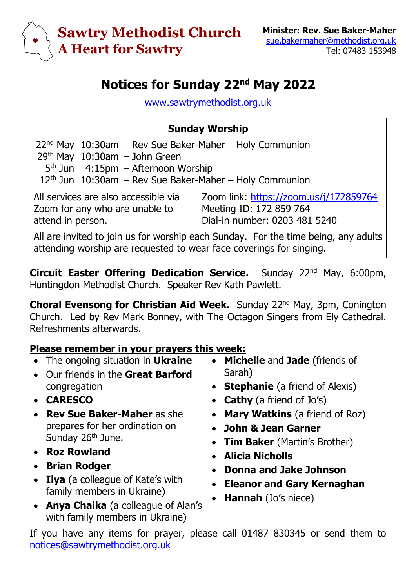

## **Notices for Sunday 22nd May 2022**

[www.sawtrymethodist.org.uk](http://www.sawtrymethodist.org.uk/)

## **Sunday Worship**

 $22<sup>nd</sup>$  May  $10:30$ am – Rev Sue Baker-Maher – Holy Communion  $29<sup>th</sup>$  May  $10:30$ am – John Green

5<sup>th</sup> Jun 4:15pm – Afternoon Worship

 $12<sup>th</sup>$  Jun  $10:30$ am – Rev Sue Baker-Maher – Holy Communion

All services are also accessible via Zoom for any who are unable to attend in person.

Zoom link:<https://zoom.us/j/172859764> Meeting ID: 172 859 764 Dial-in number: 0203 481 5240

All are invited to join us for worship each Sunday. For the time being, any adults attending worship are requested to wear face coverings for singing.

**Circuit Easter Offering Dedication Service.** Sunday 22<sup>nd</sup> May, 6:00pm, Huntingdon Methodist Church. Speaker Rev Kath Pawlett.

**Choral Evensong for Christian Aid Week.** Sunday 22nd May, 3pm, Conington Church. Led by Rev Mark Bonney, with The Octagon Singers from Ely Cathedral. Refreshments afterwards.

## **Please remember in your prayers this week:**

- The ongoing situation in **Ukraine**
- Our friends in the **Great Barford** congregation
- **CARESCO**
- **Rev Sue Baker-Maher** as she prepares for her ordination on Sunday 26<sup>th</sup> June.
- **Roz Rowland**
- **Brian Rodger**
- **Ilya** (a colleague of Kate's with family members in Ukraine)
- **Anya Chaika** (a colleague of Alan's with family members in Ukraine)
- **Michelle** and **Jade** (friends of Sarah)
- **Stephanie** (a friend of Alexis)
- **Cathy** (a friend of Jo's)
- **Mary Watkins** (a friend of Roz)
- **John & Jean Garner**
- **Tim Baker** (Martin's Brother)
- **Alicia Nicholls**
- **Donna and Jake Johnson**
- **Eleanor and Gary Kernaghan**
- **Hannah** (Jo's niece)

If you have any items for prayer, please call 01487 830345 or send them to [notices@sawtrymethodist.org.uk](mailto:notices@sawtrymethodist.org.uk)